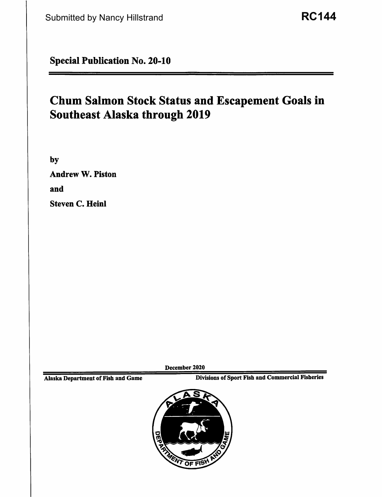Special Publication No. 20-10

# Chum Salmon Stock Status and Escapement Goals in Southeast Alaska through 2019

by

Andrew W. Piston

and

Steven C. Heinl

December 2020

Alaska Department of Fish and Game Divisions of Sport Fish and Commercial Fisheries

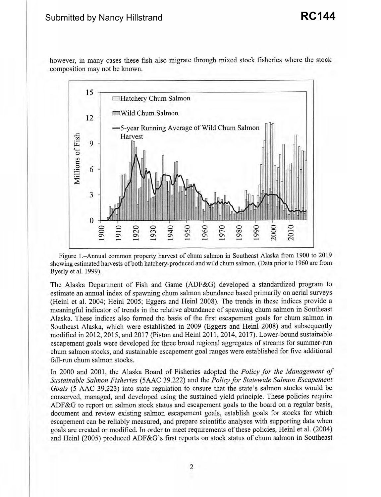## Submitted by Nancy Hillstrand **RC144**

however, in many cases these fish also migrate through mixed stock fisheries where the stock composition may not be known.



Figure 1.- Annual common property harvest of chum salmon in Southeast Alaska from 1900 to 2019 showing estimated harvests of both hatchery-produced and wild chum salmon. (Data prior to 1960 are from Byerly et al. 1999).

The Alaska Department of Fish and Game (ADF&G) developed a standardized program to estimate an annual index of spawning chum salmon abundance based primarily on aerial surveys (Heinl et al. 2004; Heinl 2005; Eggers and Heinl 2008). The trends in these indices provide a meaningful indicator of trends in the relative abundance of spawning chum salmon in Southeast Alaska. These indices also formed the basis of the first escapement goals for chum salmon in Southeast Alaska, which were established in 2009 (Eggers and Heinl 2008) and subsequently modified in 2012, 2015, and 2017 (Piston and Heinl 2011, 2014, 2017). Lower-bound sustainable escapement goals were developed for three broad regional aggregates of streams for summer-run chum salmon stocks, and sustainable escapement goal ranges were established for five additional fall-run chum salmon stocks.

In 2000 and 2001 , the Alaska Board of Fisheries adopted the *Policy for the Management of Sustainable Salmon Fisheries* (5AAC 39.222) and the *Policy for Statewide Salmon Escapement Goals* (5 AAC 39.223) into state regulation to ensure that the state's salmon stocks would be conserved, managed, and developed using the sustained yield principle. These policies require ADF&G to report on salmon stock status and escapement goals to the board on a regular basis, document and review existing salmon escapement goals, establish goals for stocks for which escapement can be reliably measured, and prepare scientific analyses with supporting data when goals are created or modified. In order to meet requirements of these policies, Heinl et al. (2004) and Heinl (2005) produced ADF&G's first reports on stock status of chum salmon in Southeast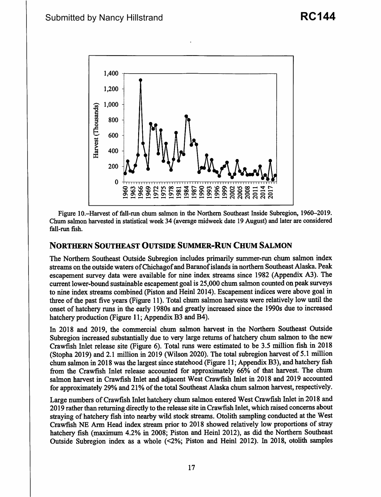

Figure 10.-Harvest of fall-run chum salmon in the Northern Southeast Inside Subregion, 1960-2019. Chum salmon harvested in statistical week 34 (average midweek date 19 August) and later are considered fall-run fish.

### **NORTHERN SOUTHEAST OUTSIDE SUMMER-RUN CHUM SALMON**

The Northern Southeast Outside Subregion includes primarily summer-run chum salmon index streams on the outside waters ofChichagofand Baranof islands in northern Southeast Alaska. Peak escapement survey data were available for nine index streams since 1982 (Appendix A3). The current lower-bound sustainable escapement goal is 25,000 chum salmon counted on peak surveys to nine index streams combined (Piston and Heinl 2014). Escapement indices were above goal in three of the past five years (Figure 11). Total chum salmon harvests were relatively low until the onset of hatchery runs in the early 1980s and greatly increased since the 1990s due to increased hatchery production (Figure 11; Appendix B3 and B4).

In 2018 and 2019, the commercial chum salmon harvest in the Northern Southeast Outside Subregion increased substantially due to very large returns of hatchery chum salmon to the new Crawfish Inlet release site (Figure 6). Total runs were estimated to be 3.5 million fish in 2018 (Stopha 2019) and 2.1 million in 2019 (Wilson 2020). The total subregion harvest of 5.1 million chum salmon in 2018 was the largest since statehood (Figure 11; Appendix B3), and hatchery fish from the Crawfish Inlet release accounted for approximately 66% of that harvest. The chum salmon harvest in Crawfish Inlet and adjacent West Crawfish Inlet in 2018 and 2019 accounted for approximately 29% and 21% of the total Southeast Alaska chum salmon harvest, respectively.

Large numbers of Crawfish Inlet hatchery chum salmon entered West Crawfish Inlet in 2018 and 2019 rather than returning directly to the release site in Crawfish Inlet, which raised concerns about straying of hatchery fish into nearby wild stock streams. Otolith sampling conducted at the West Crawfish NE Arm Head index stream prior to 2018 showed relatively low proportions of stray hatchery fish (maximum 4.2% in 2008; Piston and Heinl 2012), as did the Northern Southeast Outside Subregion index as a whole (<2%; Piston and Heinl 2012). In 2018, otolith samples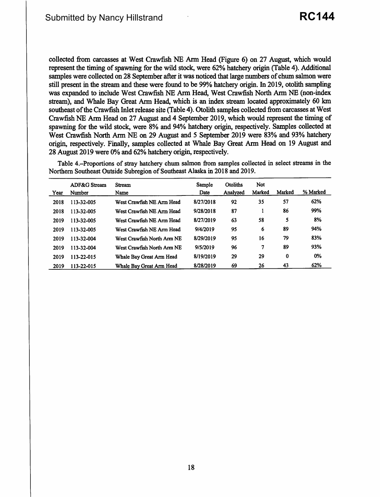collected from carcasses at West Crawfish NE Arm Head (Figure 6) on 27 August, which would represent the timing of spawning for the wild stock, were 62% hatchery origin {Table 4). Additional samples were collected on 28 September after it was noticed that large numbers of chum salmon were still present in the stream and these were found to be 99% hatchery origin. In 2019, otolith sampling was expanded to include West Crawfish NE Ann Head, West Crawfish North Ann NE (non-index stream), and Whale Bay Great Arm Head, which is an index stream located approximately 60 km southeast of the Crawfish Inlet release site (Table 4). Otolith samples collected from carcasses at West Crawfish NE Arm Head on 27 August and 4 September 2019, which would represent the timing of spawning for the wild stock, were 8% and 94% hatchery origin, respectively. Samples collected at West Crawfish North Arm NE on 29 August and 5 September 2019 were 83% and 93% hatchery origin, respectively. Finally, samples collected at Whale Bay Great Arm Head on 19 August and 28 August 2019 were 0% and 62% hatchery origin, respectively.

Table 4.-Proportions of stray hatchery chum salmon from samples collected in select streams in the Northern Southeast Outside Subregion of Southeast Alaska in 2018 and 2019.

| Year | ADF&G Stream<br>Number | Stream<br>Name             | Sample<br>Date | <b>Otoliths</b><br>Analyzed | Not<br>Marked | Marked | % Marked |
|------|------------------------|----------------------------|----------------|-----------------------------|---------------|--------|----------|
| 2018 | 113-32-005             | West Crawfish NE Arm Head  | 8/27/2018      | 92                          | 35            | 57     | 62%      |
| 2018 | 113-32-005             | West Crawfish NE Arm Head  | 9/28/2018      | 87                          |               | 86     | 99%      |
| 2019 | 113-32-005             | West Crawfish NE Arm Head  | 8/27/2019      | 63                          | 58            | 5      | 8%       |
| 2019 | 113-32-005             | West Crawfish NE Arm Head  | 9/4/2019       | 95                          | 6             | 89     | 94%      |
| 2019 | 113-32-004             | West Crawfish North Arm NE | 8/29/2019      | 95                          | 16            | 79     | 83%      |
| 2019 | 113-32-004             | West Crawfish North Arm NE | 9/5/2019       | 96                          | 7             | 89     | 93%      |
| 2019 | 113-22-015             | Whale Bay Great Arm Head   | 8/19/2019      | 29                          | 29            | 0      | 0%       |
| 2019 | 113-22-015             | Whale Bay Great Arm Head   | 8/28/2019      | 69                          | 26            | 43     | 62%      |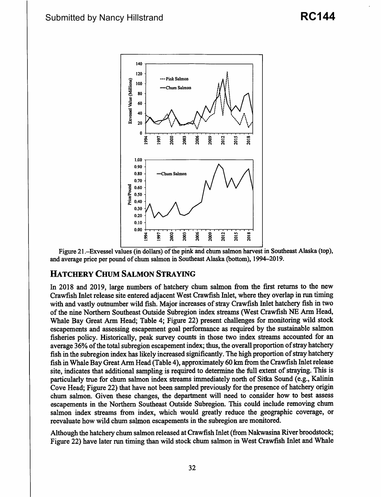

Figure 21.-Exvessel values (in dollars) of the pink and chum salmon harvest in Southeast Alaska (top), and average price per pound of chum salmon in Southeast Alaska (bottom), 1994-2019.

### **HATCHERY CHUM SALMON STRAYING**

In 2018 and 2019, large numbers of hatchery chum salmon from the first returns to the new Crawfish Inlet release site entered adjacent West Crawfish Inlet, where they overlap in run timing with and vastly outnumber wild fish. Major increases of stray Crawfish Inlet hatchery fish in two of the nine Northern Southeast Outside Subregion index streams (West Crawfish NE Arm Head, Whale Bay Great Arm Head; Table 4; Figure 22) present challenges for monitoring wild stock escapements and assessing escapement goal performance as required by the sustainable salmon fisheries policy. Historically, peak survey counts in those two index streams accounted for an average 36% of the total subregion escapement index; thus, the overall proportion of stray hatchery fish in the subregion index has likely increased significantly. The high proportion of stray hatchery fish in Whale Bay Great Arm Head (Table 4), approximately 60 km from the Crawfish Inlet release site, indicates that additional sampling is required to determine the full extent of straying. This is particularly true for chum salmon index streams immediately north of Sitka Sound (e.g., Kalinin Cove Head; Figure 22) that have not been sampled previously for the presence of hatchery origin chum salmon. Given these changes, the department will need to consider how to best assess escapements in the Northern Southeast Outside Subregion. This could include removing chum salmon index streams from index, which would greatly reduce the geographic coverage, or reevaluate how wild chum salmon escapements in the subregion are monitored.

Although the hatchery chum salmon released at Crawfish Inlet (from Nakwasina River broodstock; Figure 22) have later run timing than wild stock chum salmon in West Crawfish Inlet and Whale